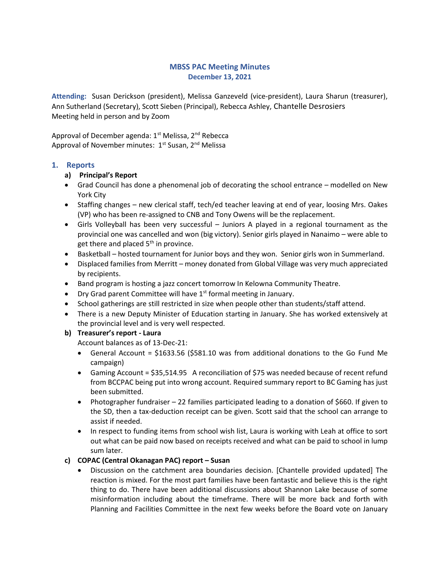# MBSS PAC Meeting Minutes December 13, 2021

Attending: Susan Derickson (president), Melissa Ganzeveld (vice-president), Laura Sharun (treasurer), Ann Sutherland (Secretary), Scott Sieben (Principal), Rebecca Ashley, Chantelle Desrosiers Meeting held in person and by Zoom

Approval of December agenda:  $1<sup>st</sup>$  Melissa,  $2<sup>nd</sup>$  Rebecca Approval of November minutes: 1<sup>st</sup> Susan, 2<sup>nd</sup> Melissa

# 1. Reports

#### a) Principal's Report

- Grad Council has done a phenomenal job of decorating the school entrance modelled on New York City
- Staffing changes new clerical staff, tech/ed teacher leaving at end of year, loosing Mrs. Oakes (VP) who has been re-assigned to CNB and Tony Owens will be the replacement.
- Girls Volleyball has been very successful Juniors A played in a regional tournament as the provincial one was cancelled and won (big victory). Senior girls played in Nanaimo – were able to get there and placed  $5<sup>th</sup>$  in province.
- Basketball hosted tournament for Junior boys and they won. Senior girls won in Summerland.
- Displaced families from Merritt money donated from Global Village was very much appreciated by recipients.
- Band program is hosting a jazz concert tomorrow In Kelowna Community Theatre.
- Dry Grad parent Committee will have  $1<sup>st</sup>$  formal meeting in January.
- School gatherings are still restricted in size when people other than students/staff attend.
- There is a new Deputy Minister of Education starting in January. She has worked extensively at the provincial level and is very well respected.

#### b) Treasurer's report - Laura

Account balances as of 13-Dec-21:

- General Account = \$1633.56 (\$581.10 was from additional donations to the Go Fund Me campaign)
- Gaming Account = \$35,514.95 A reconciliation of \$75 was needed because of recent refund from BCCPAC being put into wrong account. Required summary report to BC Gaming has just been submitted.
- Photographer fundraiser 22 families participated leading to a donation of \$660. If given to the SD, then a tax-deduction receipt can be given. Scott said that the school can arrange to assist if needed.
- In respect to funding items from school wish list, Laura is working with Leah at office to sort out what can be paid now based on receipts received and what can be paid to school in lump sum later.

# c) COPAC (Central Okanagan PAC) report – Susan

 Discussion on the catchment area boundaries decision. [Chantelle provided updated] The reaction is mixed. For the most part families have been fantastic and believe this is the right thing to do. There have been additional discussions about Shannon Lake because of some misinformation including about the timeframe. There will be more back and forth with Planning and Facilities Committee in the next few weeks before the Board vote on January